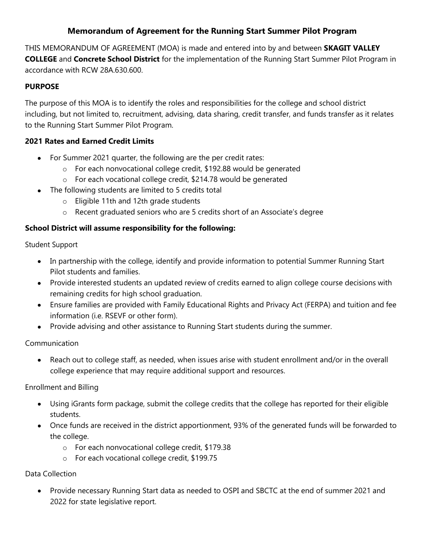# **Memorandum of Agreement for the Running Start Summer Pilot Program**

THIS MEMORANDUM OF AGREEMENT (MOA) is made and entered into by and between **SKAGIT VALLEY COLLEGE** and **Concrete School District** for the implementation of the Running Start Summer Pilot Program in accordance with RCW 28A.630.600.

### **PURPOSE**

The purpose of this MOA is to identify the roles and responsibilities for the college and school district including, but not limited to, recruitment, advising, data sharing, credit transfer, and funds transfer as it relates to the Running Start Summer Pilot Program.

### **2021 Rates and Earned Credit Limits**

- For Summer 2021 quarter, the following are the per credit rates:
	- o For each nonvocational college credit, \$192.88 would be generated
	- o For each vocational college credit, \$214.78 would be generated
- The following students are limited to 5 credits total
	- o Eligible 11th and 12th grade students
	- o Recent graduated seniors who are 5 credits short of an Associate's degree

## **School District will assume responsibility for the following:**

Student Support

- In partnership with the college, identify and provide information to potential Summer Running Start Pilot students and families.
- Provide interested students an updated review of credits earned to align college course decisions with remaining credits for high school graduation.
- Ensure families are provided with Family Educational Rights and Privacy Act (FERPA) and tuition and fee information (i.e. RSEVF or other form).
- Provide advising and other assistance to Running Start students during the summer.

Communication

Reach out to college staff, as needed, when issues arise with student enrollment and/or in the overall college experience that may require additional support and resources.

Enrollment and Billing

- Using iGrants form package, submit the college credits that the college has reported for their eligible students.
- Once funds are received in the district apportionment, 93% of the generated funds will be forwarded to the college.
	- o For each nonvocational college credit, \$179.38
	- o For each vocational college credit, \$199.75

Data Collection

Provide necessary Running Start data as needed to OSPI and SBCTC at the end of summer 2021 and 2022 for state legislative report.